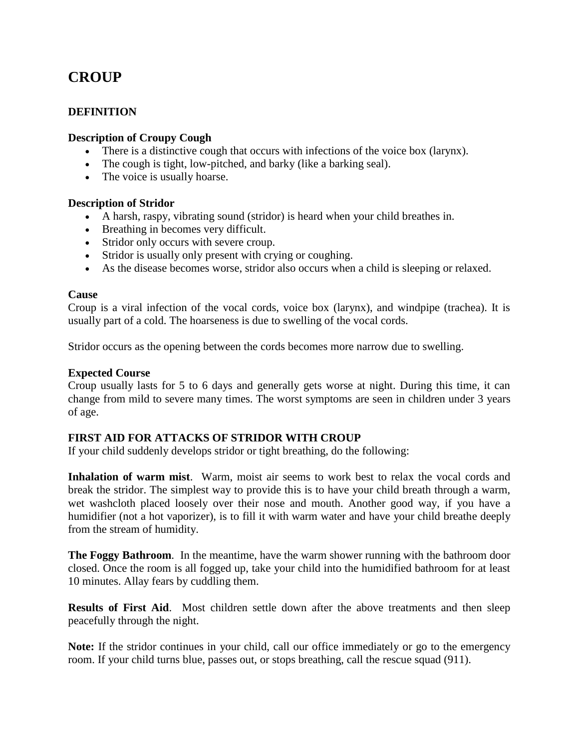# **CROUP**

# **DEFINITION**

#### **Description of Croupy Cough**

- There is a distinctive cough that occurs with infections of the voice box (larynx).
- The cough is tight, low-pitched, and barky (like a barking seal).
- The voice is usually hoarse.

#### **Description of Stridor**

- A harsh, raspy, vibrating sound (stridor) is heard when your child breathes in.
- Breathing in becomes very difficult.
- Stridor only occurs with severe croup.
- Stridor is usually only present with crying or coughing.
- As the disease becomes worse, stridor also occurs when a child is sleeping or relaxed.

#### **Cause**

Croup is a viral infection of the vocal cords, voice box (larynx), and windpipe (trachea). It is usually part of a cold. The hoarseness is due to swelling of the vocal cords.

Stridor occurs as the opening between the cords becomes more narrow due to swelling.

#### **Expected Course**

Croup usually lasts for 5 to 6 days and generally gets worse at night. During this time, it can change from mild to severe many times. The worst symptoms are seen in children under 3 years of age.

#### **FIRST AID FOR ATTACKS OF STRIDOR WITH CROUP**

If your child suddenly develops stridor or tight breathing, do the following:

**Inhalation of warm mist**. Warm, moist air seems to work best to relax the vocal cords and break the stridor. The simplest way to provide this is to have your child breath through a warm, wet washcloth placed loosely over their nose and mouth. Another good way, if you have a humidifier (not a hot vaporizer), is to fill it with warm water and have your child breathe deeply from the stream of humidity.

**The Foggy Bathroom**. In the meantime, have the warm shower running with the bathroom door closed. Once the room is all fogged up, take your child into the humidified bathroom for at least 10 minutes. Allay fears by cuddling them.

**Results of First Aid**. Most children settle down after the above treatments and then sleep peacefully through the night.

**Note:** If the stridor continues in your child, call our office immediately or go to the emergency room. If your child turns blue, passes out, or stops breathing, call the rescue squad (911).